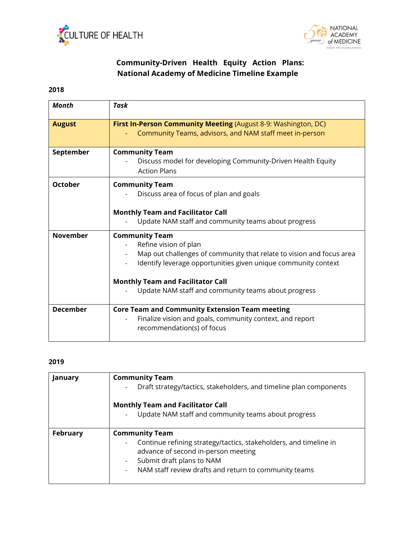



## **Community-Driven Health Equity Action Plans: National Academy of Medicine Timeline Example**

## **2018**

| <b>Month</b>    | Task                                                                                                                                                                                                                                                                                        |
|-----------------|---------------------------------------------------------------------------------------------------------------------------------------------------------------------------------------------------------------------------------------------------------------------------------------------|
| <b>August</b>   | First In-Person Community Meeting (August 8-9: Washington, DC)<br>Community Teams, advisors, and NAM staff meet in-person                                                                                                                                                                   |
| September       | <b>Community Team</b><br>Discuss model for developing Community-Driven Health Equity<br><b>Action Plans</b>                                                                                                                                                                                 |
| <b>October</b>  | <b>Community Team</b><br>Discuss area of focus of plan and goals<br><b>Monthly Team and Facilitator Call</b><br>Update NAM staff and community teams about progress                                                                                                                         |
| <b>November</b> | <b>Community Team</b><br>Refine vision of plan<br>Map out challenges of community that relate to vision and focus area<br>Identify leverage opportunities given unique community context<br><b>Monthly Team and Facilitator Call</b><br>Update NAM staff and community teams about progress |
| <b>December</b> | <b>Core Team and Community Extension Team meeting</b><br>Finalize vision and goals, community context, and report<br>recommendation(s) of focus                                                                                                                                             |

## **2019**

| January  | <b>Community Team</b><br>Draft strategy/tactics, stakeholders, and timeline plan components<br>$\overline{\phantom{a}}$<br><b>Monthly Team and Facilitator Call</b><br>Update NAM staff and community teams about progress |
|----------|----------------------------------------------------------------------------------------------------------------------------------------------------------------------------------------------------------------------------|
| February | <b>Community Team</b><br>Continue refining strategy/tactics, stakeholders, and timeline in<br>advance of second in-person meeting<br>Submit draft plans to NAM<br>NAM staff review drafts and return to community teams    |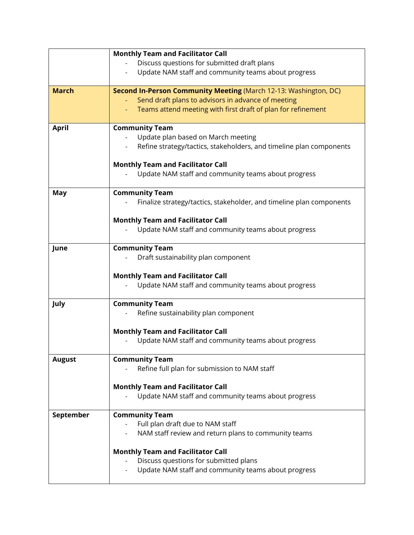|               | <b>Monthly Team and Facilitator Call</b>                                                 |
|---------------|------------------------------------------------------------------------------------------|
|               | Discuss questions for submitted draft plans                                              |
|               | Update NAM staff and community teams about progress                                      |
|               |                                                                                          |
| <b>March</b>  | Second In-Person Community Meeting (March 12-13: Washington, DC)                         |
|               | Send draft plans to advisors in advance of meeting                                       |
|               | Teams attend meeting with first draft of plan for refinement                             |
| <b>April</b>  | <b>Community Team</b>                                                                    |
|               | Update plan based on March meeting                                                       |
|               | Refine strategy/tactics, stakeholders, and timeline plan components                      |
|               | <b>Monthly Team and Facilitator Call</b>                                                 |
|               | Update NAM staff and community teams about progress                                      |
|               |                                                                                          |
| <b>May</b>    | <b>Community Team</b>                                                                    |
|               | Finalize strategy/tactics, stakeholder, and timeline plan components                     |
|               | <b>Monthly Team and Facilitator Call</b>                                                 |
|               | Update NAM staff and community teams about progress                                      |
|               |                                                                                          |
| June          | <b>Community Team</b>                                                                    |
|               | Draft sustainability plan component                                                      |
|               | <b>Monthly Team and Facilitator Call</b>                                                 |
|               | Update NAM staff and community teams about progress                                      |
|               |                                                                                          |
| July          | <b>Community Team</b>                                                                    |
|               | Refine sustainability plan component                                                     |
|               | <b>Monthly Team and Facilitator Call</b>                                                 |
|               | Update NAM staff and community teams about progress                                      |
|               |                                                                                          |
| <b>August</b> | <b>Community Team</b>                                                                    |
|               | Refine full plan for submission to NAM staff                                             |
|               | <b>Monthly Team and Facilitator Call</b>                                                 |
|               | Update NAM staff and community teams about progress                                      |
|               |                                                                                          |
| September     | <b>Community Team</b>                                                                    |
|               | Full plan draft due to NAM staff<br>NAM staff review and return plans to community teams |
|               |                                                                                          |
|               | <b>Monthly Team and Facilitator Call</b>                                                 |
|               | Discuss questions for submitted plans                                                    |
|               | Update NAM staff and community teams about progress                                      |
|               |                                                                                          |